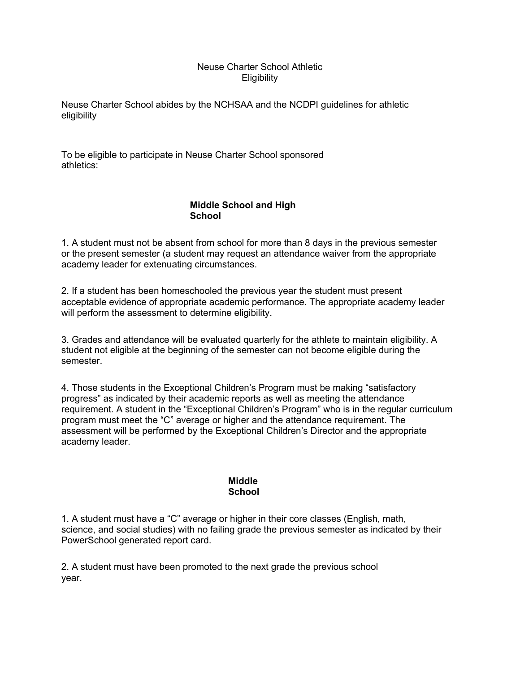## Neuse Charter School Athletic **Eligibility**

Neuse Charter School abides by the NCHSAA and the NCDPI guidelines for athletic eligibility

To be eligible to participate in Neuse Charter School sponsored athletics:

## **Middle School and High School**

1. A student must not be absent from school for more than 8 days in the previous semester or the present semester (a student may request an attendance waiver from the appropriate academy leader for extenuating circumstances.

2. If a student has been homeschooled the previous year the student must present acceptable evidence of appropriate academic performance. The appropriate academy leader will perform the assessment to determine eligibility.

3. Grades and attendance will be evaluated quarterly for the athlete to maintain eligibility. A student not eligible at the beginning of the semester can not become eligible during the semester.

4. Those students in the Exceptional Children's Program must be making "satisfactory progress" as indicated by their academic reports as well as meeting the attendance requirement. A student in the "Exceptional Children's Program" who is in the regular curriculum program must meet the "C" average or higher and the attendance requirement. The assessment will be performed by the Exceptional Children's Director and the appropriate academy leader.

## **Middle School**

1. A student must have a "C" average or higher in their core classes (English, math, science, and social studies) with no failing grade the previous semester as indicated by their PowerSchool generated report card.

2. A student must have been promoted to the next grade the previous school year.